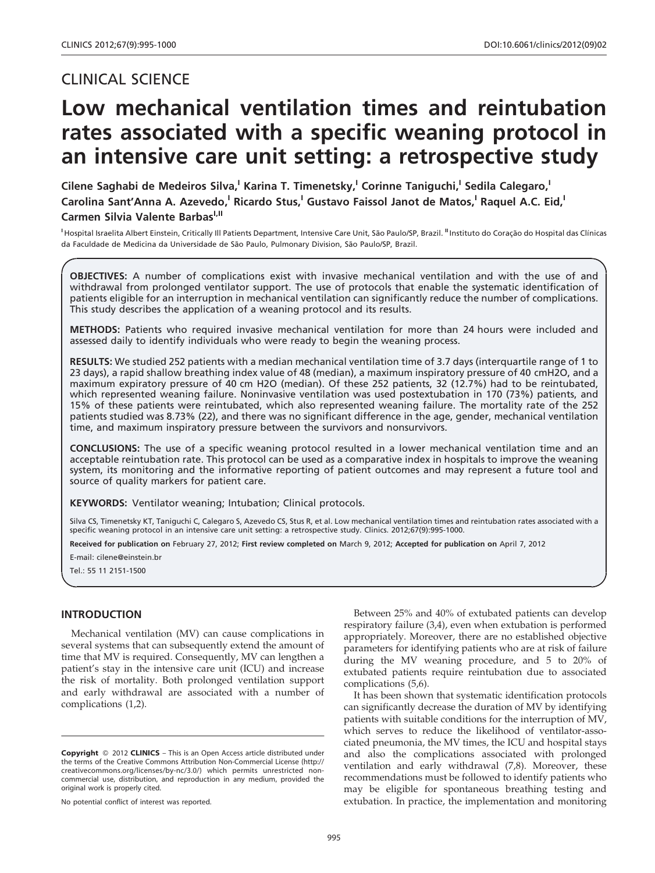# CLINICAL SCIENCE

# Low mechanical ventilation times and reintubation rates associated with a specific weaning protocol in an intensive care unit setting: a retrospective study

Cilene Saghabi de Medeiros Silva,<sup>I</sup> Karina T. Timenetsky,<sup>I</sup> Corinne Taniguchi,<sup>I</sup> Sedila Calegaro,<sup>I</sup> Carolina Sant'Anna A. Azevedo,<sup>I</sup> Ricardo Stus,<sup>I</sup> Gustavo Faissol Janot de Matos,<sup>I</sup> Raquel A.C. Eid,<sup>I</sup> Carmen Silvia Valente Barbas<sup>I, II</sup>

<sup>I</sup> Hospital Israelita Albert Einstein, Critically Ill Patients Department, Intensive Care Unit, São Paulo/SP, Brazil. <sup>II</sup> Instituto do Coração do Hospital das Clínicas da Faculdade de Medicina da Universidade de São Paulo, Pulmonary Division, São Paulo/SP, Brazil.

OBJECTIVES: A number of complications exist with invasive mechanical ventilation and with the use of and withdrawal from prolonged ventilator support. The use of protocols that enable the systematic identification of patients eligible for an interruption in mechanical ventilation can significantly reduce the number of complications. This study describes the application of a weaning protocol and its results.

METHODS: Patients who required invasive mechanical ventilation for more than 24 hours were included and assessed daily to identify individuals who were ready to begin the weaning process.

RESULTS: We studied 252 patients with a median mechanical ventilation time of 3.7 days (interquartile range of 1 to 23 days), a rapid shallow breathing index value of 48 (median), a maximum inspiratory pressure of 40 cmH2O, and a maximum expiratory pressure of 40 cm H2O (median). Of these 252 patients, 32 (12.7%) had to be reintubated, which represented weaning failure. Noninvasive ventilation was used postextubation in 170 (73%) patients, and 15% of these patients were reintubated, which also represented weaning failure. The mortality rate of the 252 patients studied was 8.73% (22), and there was no significant difference in the age, gender, mechanical ventilation time, and maximum inspiratory pressure between the survivors and nonsurvivors.

CONCLUSIONS: The use of a specific weaning protocol resulted in a lower mechanical ventilation time and an acceptable reintubation rate. This protocol can be used as a comparative index in hospitals to improve the weaning system, its monitoring and the informative reporting of patient outcomes and may represent a future tool and source of quality markers for patient care.

KEYWORDS: Ventilator weaning; Intubation; Clinical protocols.

Silva CS, Timenetsky KT, Taniguchi C, Calegaro S, Azevedo CS, Stus R, et al. Low mechanical ventilation times and reintubation rates associated with a specific weaning protocol in an intensive care unit setting: a retrospective study. Clinics. 2012;67(9):995-1000.

Received for publication on February 27, 2012; First review completed on March 9, 2012; Accepted for publication on April 7, 2012

E-mail: cilene@einstein.br

Tel.: 55 11 2151-1500

# INTRODUCTION

Mechanical ventilation (MV) can cause complications in several systems that can subsequently extend the amount of time that MV is required. Consequently, MV can lengthen a patient's stay in the int[ensiv](#page-4-0)e care unit (ICU) and increase the risk of mortality. Both prolonged ventilation support and early withdrawal are associated with a number of complications (1,2).

No potential conflict of interest was reported.

Betwe[en 25% and 40% of extubated patients can develop](#page-4-0) respirat[ory failure \(3,4\), even when extubation is performed](#page-4-0) appropr[iately. Moreover, there are no established objective](#page-4-0) paramet[ers](#page-4-0) [for](#page-4-0) [identifying](#page-4-0) [p](#page-4-0)atients who are at risk of failure during the MV weaning procedure, and 5 to 20% of extubated patients require reintubation due to associated complications (5,6).

It has been shown that systematic identification protocols can significantly decrease the duration of MV by identifying patients with suitable conditions for the interruption of MV, which serves to reduce the likelihood of v[entilator-asso](#page-4-0)ciated p[neumonia, the MV times, the ICU and hospital stays](#page-4-0) and als[o](#page-4-0) [the](#page-4-0) [complications](#page-4-0) [associated](#page-4-0) [with](#page-4-0) [prolonged](#page-4-0) ventilati[on and early withdrawal \(7,8\). Moreover, these](#page-4-0) recommendations must be followed to identify patients who may be eligible for spontaneous breathing testing and extubation. In practice, the implementation and monitoring

Copyright © 2012 CLINICS - This is an Open Access article distributed under the terms of the Creative Commons Attribution Non-Commercial License (http:// creativecommons.org/licenses/by-nc/3.0/) which permits unrestricted noncommercial use, distribution, and reproduction in any medium, provided the original work is properly cited.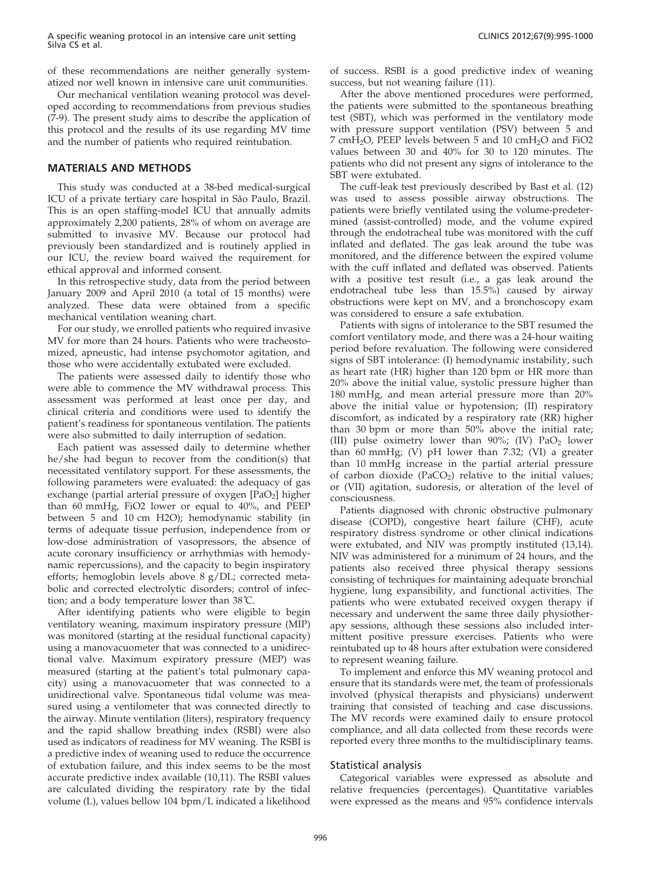of these recommendations are neither generally systematized no[r well known in intensive care unit communities.](#page-4-0)

Our [mechanical ventilation weaning protocol was devel](#page-4-0)oped ac[cording to recommendations from previous studies](#page-4-0) (7-9). The present study aims to describe the application of this protocol and the results of its use regarding MV time and the number of patients who required reintubation.

# MATERIALS AND METHODS

This study was conducted at a 38-bed medical-surgical ICU of a private tertiary care hospital in São Paulo, Brazil. This is an open staffing-model ICU that annually admits approximately 2,200 patients, 28% of whom on average are submitted to invasive MV. Because our protocol had previously been standardized and is routinely applied in our ICU, the review board waived the requirement for ethical approval and informed consent.

In this retrospective study, data from the period between January 2009 and April 2010 (a total of 15 months) were analyzed. These data were obtained from a specific mechanical ventilation weaning chart.

For our study, we enrolled patients who required invasive MV for more than 24 hours. Patients who were tracheostomized, apneustic, had intense psychomotor agitation, and those who were accidentally extubated were excluded.

The patients were assessed daily to identify those who were able to commence the MV withdrawal process. This assessment was performed at least once per day, and clinical criteria and conditions were used to identify the patient's readiness for spontaneous ventilation. The patients were also submitted to daily interruption of sedation.

Each patient was assessed daily to determine whether he/she had begun to recover from the condition(s) that necessitated ventilatory support. For these assessments, the following parameters were evaluated: the adequacy of gas exchange (partial arterial pressure of oxygen  $[PaO<sub>2</sub>]$  higher than 60 mmHg, FiO2 lower or equal to 40%, and PEEP between 5 and 10 cm H2O); hemodynamic stability (in terms of adequate tissue perfusion, independence from or low-dose administration of vasopressors, the absence of acute coronary insufficiency or arrhythmias with hemodynamic repercussions), and the capacity to begin inspiratory efforts; hemoglobin levels above 8 g/DL; corrected metabolic and corrected electrolytic disorders; control of infection; and a body temperature lower than 38˚C.

After identifying patients who were eligible to begin ventilatory weaning, maximum inspiratory pressure (MIP) was monitored (starting at the residual functional capacity) using a manovacuometer that was connected to a unidirectional valve. Maximum expiratory pressure (MEP) was measured (starting at the patient's total pulmonary capacity) using a manovacuometer that was connected to a unidirectional valve. Spontaneous tidal volume was measured using a ventilometer that was connected directly to the airway. Minute ventilation (liters), respiratory frequency and the rapid shallow breathing index (RSBI) were also used as indicators of readiness for MV weani[ng. The RSBI is](#page-4-0) a predic[tive index of weaning used to reduce the occurrence](#page-4-0) of extub[ation failure, and this index seems to be the most](#page-4-0) accurate predictive index available (10,11). The RSBI values are calculated dividing the respiratory rate by the tidal volume (L), values bellow 104 bpm/L indicated a likelihood

of success. RSBI is a good predictive index of weaning success, but not weaning failure (11).

After the above mentioned procedures were performed, the patients were submitted to the spontaneous breathing test (SBT), which was performed in the ventilatory mode with pressure support ventilation (PSV) between 5 and 7 cmH2O, PEEP levels between 5 and 10 cmH2O and FiO2 values between 30 and 40% for 30 to 120 minutes. The patients [who](#page-4-0) [did](#page-4-0) [not](#page-4-0) [present](#page-4-0) [any](#page-4-0) [signs](#page-4-0) [of](#page-4-0) [intolerance](#page-4-0) [to](#page-4-0) [the](#page-4-0) SBT wer[e extubated.](#page-4-0)

The c[uff-leak](#page-4-0) [test](#page-4-0) [previously](#page-4-0) [described](#page-4-0) [by](#page-4-0) [Bast](#page-4-0) [et](#page-4-0) [al.](#page-4-0) [\(12\)](#page-4-0) was us[ed to assess possible airway obstructions. The](#page-4-0) patients [were](#page-4-0) [briefly](#page-4-0) [ventilated](#page-4-0) [using](#page-4-0) [the](#page-4-0) [volume-predeter](#page-4-0)mined ([assist-controlled\) mode, and the volume expired](#page-4-0) through [the](#page-4-0) [endotracheal](#page-4-0) [tube](#page-4-0) [was](#page-4-0) [monitored](#page-4-0) [with](#page-4-0) [the](#page-4-0) [cuff](#page-4-0) inflated [and deflated. The gas leak around the tube was](#page-4-0) monitor[ed,](#page-4-0) [and](#page-4-0) [the](#page-4-0) [difference](#page-4-0) [between](#page-4-0) [the](#page-4-0) [expired](#page-4-0) [volume](#page-4-0) with the [cuff](#page-4-0) [inflated](#page-4-0) [and](#page-4-0) [deflated](#page-4-0) [was](#page-4-0) [observed.](#page-4-0) [Patients](#page-4-0) with a [positive](#page-4-0) [test](#page-4-0) [result](#page-4-0) [\(i.e.,](#page-4-0) [a](#page-4-0) [gas](#page-4-0) [leak](#page-4-0) [aroun](#page-4-0)d the endotracheal tube less than 15.5%) caused by airway obstructions were kept on MV, and a bronchoscopy exam was considered to ensure a safe extubation.

Patients with signs of intolerance to the SBT resumed the comfort ventilatory mode, and there was a 24-hour waiting period before revaluation. The following were considered signs of SBT intolerance: (I) hemodynamic instability, such as heart rate (HR) higher than 120 bpm or HR more than 20% above the initial value, systolic pressure higher than 180 mmHg, and mean arterial pressure more than 20% above the initial value or hypotension; (II) respiratory discomfort, as indicated by a respiratory rate (RR) higher than 30 bpm or more than 50% above the initial rate; (III) pulse oximetry lower than  $90\%$ ; (IV) PaO<sub>2</sub> lower than  $60$  mmHg; (V) pH lower than 7.32; (VI) a greater than 10 mmHg increase in the partial arterial pressure of carbon dioxide (PaCO<sub>2</sub>) relative to the initial values; or (VII) agitation, sudoresis, or alteration of the level of consciousness.

Patients diagnosed with chronic obstructive pulmonary disease [\(COPD\), congestive heart failure \(CHF\), acute](#page-5-0) respirat[ory](#page-5-0) [distress](#page-5-0) [syndrome](#page-5-0) [or](#page-5-0) [other](#page-5-0) [clinical](#page-5-0) [indications](#page-5-0) were ex[tubated, and NIV was promptly instituted \(13,14\).](#page-5-0) NIV wa[s](#page-5-0) [administered](#page-5-0) [for](#page-5-0) [a](#page-5-0) [minimum](#page-5-0) [of](#page-5-0) [24](#page-5-0) [hours,](#page-5-0) [and](#page-5-0) [the](#page-5-0) patients [also received three physical therapy sessions](#page-5-0) consisti[ng](#page-5-0) [of](#page-5-0) [techniques](#page-5-0) [for](#page-5-0) [maintaining](#page-5-0) [adequate](#page-5-0) [bronchial](#page-5-0) hygiene, [lung](#page-5-0) [expansibility,](#page-5-0) [and](#page-5-0) [functional](#page-5-0) [activities.](#page-5-0) [The](#page-5-0) patients [who](#page-5-0) [were](#page-5-0) [extubated](#page-5-0) [received](#page-5-0) [oxygen](#page-5-0) [therapy](#page-5-0) [if](#page-5-0) necessar[y](#page-5-0) [and](#page-5-0) [underwent](#page-5-0) [the](#page-5-0) [same](#page-5-0) [three](#page-5-0) [daily](#page-5-0) [physiother](#page-5-0)apy ses[sions,](#page-5-0) [although](#page-5-0) [these](#page-5-0) [sessions](#page-5-0) also included intermittent positive pressure exercises. Patients who were reintubated up to 48 hours after extubation were considered to represent weaning failure.

To implement and enforce this MV weaning protocol and ensure that its standards were met, the team of professionals involved (physical therapists and physicians) underwent training that consisted of teaching and case discussions. The MV records were examined daily to ensure protocol compliance, and all data collected from these records were reported every three months to the multidisciplinary teams.

# Statistical analysis

Categorical variables were expressed as absolute and relative frequencies (percentages). Quantitative variables were expressed as the means and 95% confidence intervals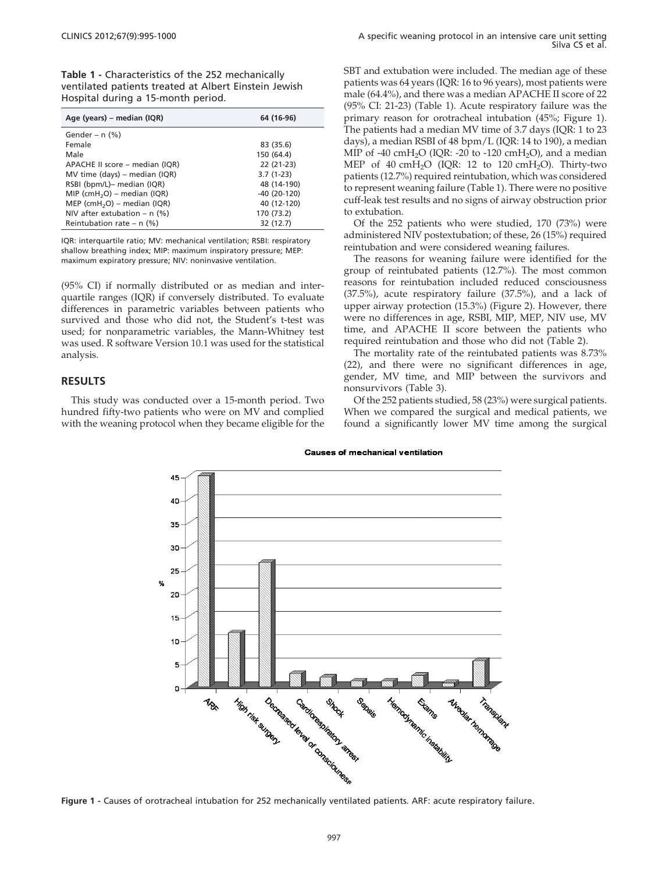CLINICS 2012;67(9):995-1000 A specific weaning protocol in an intensive care unit setting Silva CS et al.

Table 1 - Characteristics of the 252 mechanically ventilated patients treated at Albert Einstein Jewish Hospital during a 15-month period.

| Age (years) – median (IQR)              | 64 (16-96)    |
|-----------------------------------------|---------------|
| Gender – $n$ (%)                        |               |
| Female                                  | 83 (35.6)     |
| Male                                    | 150 (64.4)    |
| APACHE II score – median (IQR)          | 22 (21-23)    |
| MV time (days) – median (IQR)           | $3.7(1-23)$   |
| RSBI (bpm/L)- median (IQR)              | 48 (14-190)   |
| MIP (cmH <sub>2</sub> O) – median (IQR) | $-40(20-120)$ |
| MEP (cmH <sub>2</sub> O) – median (IQR) | 40 (12-120)   |
| NIV after extubation $-$ n (%)          | 170 (73.2)    |
| Reintubation rate – $n$ (%)             | 32 (12.7)     |

IQR: interquartile ratio; MV: mechanical ventilation; RSBI: respiratory shallow breathing index; MIP: maximum inspiratory pressure; MEP: maximum expiratory pressure; NIV: noninvasive ventilation.

(95% CI) if normally distributed or as median and interquartile ranges (IQR) if conversely distributed. To evaluate differences in parametric variables between patients who survived and those who did not, the Student's t-test was used; for nonparametric variables, the Mann-Whitney test was used. R software Version 10.1 was used for the statistical analysis.

# RESULTS

This study was conducted over a 15-month period. Two hundred fifty-two patients who were on MV and complied with the weaning protocol when they became eligible for the SBT and extubation were included. The median age of these patients was 64 years (IQR: 16 to 96 years), most patients were male (64.4%), and there was a median APACHE II score of 22 (95% CI: 21-23) (Table 1). Acute respiratory failure was the primary reason for orotracheal intubation (45%; Figure 1). The patients had a median MV time of 3.7 days (IQR: 1 to 23 days), a median RSBI of 48 bpm/L (IQR: 14 to 190), a median MIP of -40 cmH<sub>2</sub>O (IQR: -20 to -120 cmH<sub>2</sub>O), and a median MEP of 40 cmH<sub>2</sub>O (IQR: 12 to 120 cmH<sub>2</sub>O). Thirty-two patients (12.7%) required reintubation, which was considered to represent weaning failure (Table 1). There were no positive cuff-leak test results and no signs of airway obstruction prior to extubation.

Of the 252 patients who were studied, 170 (73%) were administered NIV postextubation; of these, 26 (15%) required reintubation and were considered weaning failures.

The reasons for weaning failure were identified for the group of reintubated patients (12.7%). T[he most common](#page-3-0) reasons [for reintubation included reduced consciousness](#page-3-0) (37.5%), [acute respiratory failure \(37.5%\), and a lack of](#page-3-0) upper ai[rway protection \(15.3%\) \(Figure 2\). However, there](#page-3-0) were no differences in age, RSBI, MIP, MEP, NIV use, MV time, and APACHE II score between the patients who required reintubation and those who did not (Table 2).

The mortality rate o[f the rein](#page-3-0)tubated patients was 8.73% (22), and there were no significant differences in age, gender, MV time, and MIP between the survivors and nonsurvivors (Table 3).

Of the 252 patients studied, 58 (23%) were surgical patients. When we compared the surgical and medical patients, we found a significantly lower MV time among the surgical



#### **Causes of mechanical ventilation**

Figure 1 - Causes of orotracheal intubation for 252 mechanically ventilated patients. ARF: acute respiratory failure.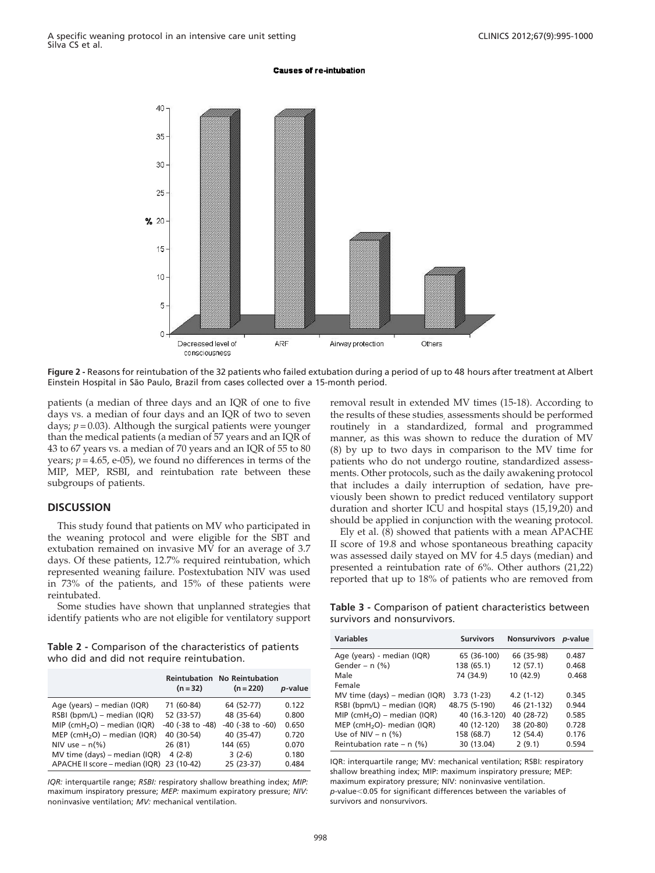#### **Causes of re-intubation**

<span id="page-3-0"></span>

Figure 2 - Reasons for reintubation of the 32 patients who failed extubation du[ring a period of up to 48 hours after treatment at Albert](#page-5-0) Einstein Hospital in São Paulo, Brazil from cases collected over a 15-month pe[riod.](#page-5-0)

patients (a median of three days and an IQR of one to five days vs. a median of four days and an IQR of two to seven days;  $p = 0.03$ ). Although the surgical patients were younger than the medical patients (a median of 57 years and an IQR of 43 to 67 years vs. a median of 70 years and an IQR of 55 to 80 years;  $p = 4.65$ , e-05), we found no differences in terms of the MIP, MEP, RSBI, and reintubation rate between these subgroups of patients.

# **DISCUSSION**

This study found that patients on MV who participated in the weaning protocol and were eligible for the SBT and extubation remained on invasive MV for an average of 3.7 days. Of these patients, 12.7% required reintubation, which represented weaning failure. Postextubation NIV was used in 73% of the patients, and 15% of these patients were reintubated.

Some studies have shown that unplanned strategies that identify patients who are not eligible for ventilatory support

Table 2 - Comparison of the characteristics of patients who did and did not require reintubation.

|                                           | Reintubation<br>$(n = 32)$ | <b>No Reintubation</b><br>$(n = 220)$ | <i>p</i> -value |
|-------------------------------------------|----------------------------|---------------------------------------|-----------------|
| Age (years) – median (IQR)                | 71 (60-84)                 | 64 (52-77)                            | 0.122           |
| RSBI (bpm/L) – median (IQR)               | 52 (33-57)                 | 48 (35-64)                            | 0.800           |
| $MIP$ (cmH <sub>2</sub> O) – median (IQR) | $-40$ ( $-38$ to $-48$ )   | $-40$ ( $-38$ to $-60$ )              | 0.650           |
| $MEP$ (cmH <sub>2</sub> O) – median (IQR) | 40 (30-54)                 | 40 (35-47)                            | 0.720           |
| NIV use $- n$ (%)                         | 26 (81)                    | 144 (65)                              | 0.070           |
| MV time (days) – median (IQR)             | $4(2-8)$                   | $3(2-6)$                              | 0.180           |
| APACHE II score – median (IQR) 23 (10-42) |                            | 25 (23-37)                            | 0.484           |

IQR: interquartile range; RSBI: respiratory shallow breathing index; MIP: maximum inspiratory pressure; MEP: maximum expiratory pressure; NIV: noninvasive ventilation; MV: mechanical ventilation.

removal [result in extended MV times \(15-18\). According to](#page-5-0) the results of these studies, [assessments should be performed](#page-4-0) routinel[y in a standardized, formal and programmed](#page-4-0) manner, [as this was shown to reduce the duration of MV](#page-4-0) (8) by u[p to two days in comparison to the MV time for](#page-4-0) patients [who](#page-4-0) [do](#page-4-0) [not](#page-4-0) [undergo](#page-4-0) [routine,](#page-4-0) [standardized](#page-4-0) [assess](#page-4-0)ments. [Other protocols, such as the daily awakening protocol](#page-5-0) that inc[ludes a daily interruption of sedation, have pre](#page-5-0)viously been shown [to predict reduced ventilatory support](#page-4-0) duration [and shorter ICU and hospital stays \(15,19,20\) and](#page-4-0) should [be applied in conjunction with the weaning protocol.](#page-4-0)

Ely et [al. \(8\) showed that patients with a mean APACHE](#page-5-0) II score [of](#page-5-0) [19.8](#page-5-0) [and](#page-5-0) [whose](#page-5-0) [spontaneous](#page-5-0) [breathing](#page-5-0) [capacity](#page-5-0) was assessed daily stayed on MV for 4.5 days (median) and presented a reintubation rate of 6%. Other authors (21,22) reported that up to 18% of patients who are removed from

Table 3 - Comparison of patient characteristics between survivors and nonsurvivors.

| <b>Variables</b>                          | <b>Survivors</b> | <b>Nonsurvivors</b> | p-value |
|-------------------------------------------|------------------|---------------------|---------|
| Age (years) - median (IQR)                | 65 (36-100)      | 66 (35-98)          | 0.487   |
| Gender – $n$ (%)                          | 138 (65.1)       | 12(57.1)            | 0.468   |
| Male                                      | 74 (34.9)        | 10 (42.9)           | 0.468   |
| Female                                    |                  |                     |         |
| MV time (days) – median (IQR)             | $3.73(1-23)$     | $4.2(1-12)$         | 0.345   |
| RSBI (bpm/L) – median (IQR)               | 48.75 (5-190)    | 46 (21-132)         | 0.944   |
| $MIP$ (cmH <sub>2</sub> O) – median (IQR) | 40 (16.3-120)    | 40 (28-72)          | 0.585   |
| $MEP$ (cmH <sub>2</sub> O)- median (IQR)  | 40 (12-120)      | 38 (20-80)          | 0.728   |
| Use of NIV – $n$ (%)                      | 158 (68.7)       | 12 (54.4)           | 0.176   |
| Reintubation rate – $n$ (%)               | 30 (13.04)       | 2(9.1)              | 0.594   |

IQR: interquartile range; MV: mechanical ventilation; RSBI: respiratory shallow breathing index; MIP: maximum inspiratory pressure; MEP: maximum expiratory pressure; NIV: noninvasive ventilation.  $p$ -value $<$ 0.05 for significant differences between the variables of survivors and nonsurvivors.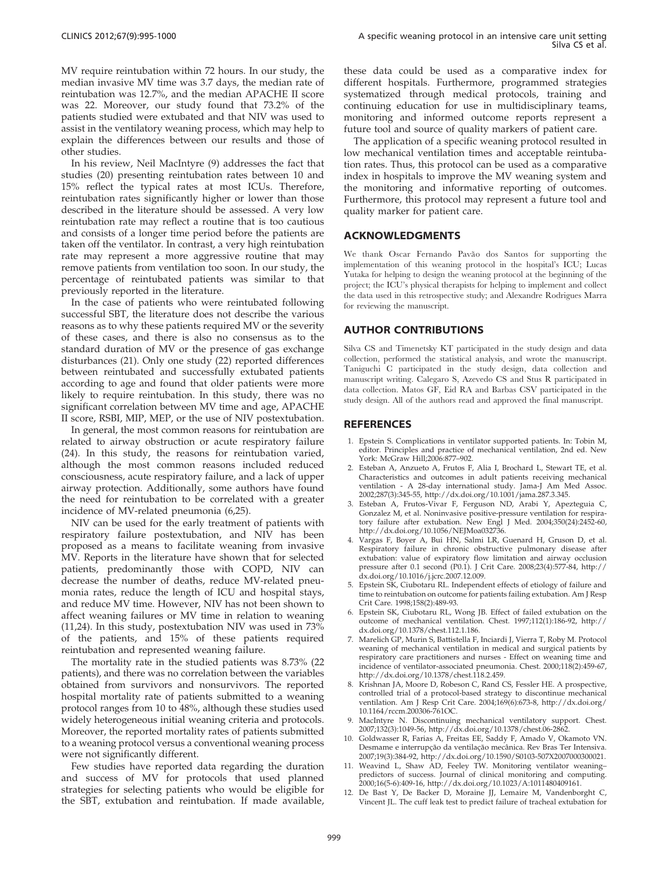<span id="page-4-0"></span>MV req[uire](#page-5-0) [reintubation](#page-5-0) [within](#page-5-0) [72](#page-5-0) [hours.](#page-5-0) [In](#page-5-0) [our](#page-5-0) [study,](#page-5-0) [the](#page-5-0) median [invasive](#page-5-0) [MV](#page-5-0) [time](#page-5-0) [was](#page-5-0) [3.7](#page-5-0) [days,](#page-5-0) [the](#page-5-0) [median](#page-5-0) [rate](#page-5-0) [of](#page-5-0) reintuba[tion](#page-5-0) [was](#page-5-0) [12.7%,](#page-5-0) [and](#page-5-0) [the](#page-5-0) [median](#page-5-0) [APACHE](#page-5-0) [II](#page-5-0) [score](#page-5-0) was 22. [Moreover,](#page-5-0) [our](#page-5-0) [study](#page-5-0) [found](#page-5-0) [that](#page-5-0) [73.2%](#page-5-0) [of](#page-5-0) [the](#page-5-0) patients [studied](#page-5-0) [were](#page-5-0) extubated and that NIV was used to assist in the ventilatory weaning process, which may help to explain [the differences between our results and those of](#page-5-0) other studies.

In his [review,](#page-5-0) [Neil](#page-5-0) [MacIntyre](#page-5-0) [\(9\)](#page-5-0) [addresses](#page-5-0) [the](#page-5-0) [fact](#page-5-0) [that](#page-5-0) studies [\(20\) presenting reintubation rates between 10 and](#page-5-0) 15% ref[lect](#page-5-0) [the](#page-5-0) [typical](#page-5-0) [rates](#page-5-0) [at](#page-5-0) [most](#page-5-0) [ICUs.](#page-5-0) [Therefore,](#page-5-0) reintuba[tion rates significantly higher or lower than those](#page-5-0) describe[d](#page-5-0) [in](#page-5-0) [the](#page-5-0) [literature](#page-5-0) [should](#page-5-0) [be](#page-5-0) [assessed.](#page-5-0) [A](#page-5-0) [very](#page-5-0) [low](#page-5-0) reintuba[tion rate may reflect a routine that is too cautious](#page-5-0) and con[sists](#page-5-0) [of](#page-5-0) [a](#page-5-0) [longer](#page-5-0) [time](#page-5-0) [period](#page-5-0) [before](#page-5-0) [the](#page-5-0) [patients](#page-5-0) [are](#page-5-0) taken of[f the ventilator. In contrast, a very high reintubation](#page-5-0) rate ma[y](#page-5-0) [represent](#page-5-0) [a](#page-5-0) [more](#page-5-0) [aggressive](#page-5-0) [rout](#page-5-0)ine that may remove patients from ventilation too soon. In our study, the percentage of reintubated patients was similar to that previously reported in the literature.

In the case of patients who were reintubated following successful SBT, the literature does not describe the various reasons as to why thes[e patients required MV or the severity](#page-5-0) of these [cases,](#page-5-0) [and](#page-5-0) [there](#page-5-0) [is](#page-5-0) [also](#page-5-0) [no](#page-5-0) [consensus](#page-5-0) [as](#page-5-0) [to](#page-5-0) [the](#page-5-0) standar[d duration of MV or the presence of gas exchange](#page-5-0) disturba[nces](#page-5-0) [\(21\).](#page-5-0) [Only](#page-5-0) [one](#page-5-0) [study](#page-5-0) [\(22\)](#page-5-0) [reported](#page-5-0) [differences](#page-5-0) between [reintubated and successfully extubated patients](#page-5-0) accordi[ng](#page-5-0) [to](#page-5-0) [age](#page-5-0) [and](#page-5-0) [found](#page-5-0) [that](#page-5-0) [older](#page-5-0) [patients](#page-5-0) [were](#page-5-0) [more](#page-5-0) likely to require reintubation. In this study, there was no significant correlation between MV time and age, APACHE II score, [RSBI, MIP, MEP, or the use of NIV postextubation.](#page-5-0)

In ge[neral, the most common reasons for reintubation are](#page-5-0) related [to](#page-5-0) [airway](#page-5-0) [obstruction](#page-5-0) [or](#page-5-0) [acute](#page-5-0) [respiratory](#page-5-0) [failure](#page-5-0) (24). In [this](#page-5-0) [study,](#page-5-0) [the](#page-5-0) [reasons](#page-5-0) [for](#page-5-0) [reintubation](#page-5-0) [varied,](#page-5-0) althoug[h](#page-5-0) [the](#page-5-0) [most](#page-5-0) [common](#page-5-0) [reasons](#page-5-0) [included](#page-5-0) [reduced](#page-5-0) consciousness, acute respiratory failure, and a lack of upper airway protection. Additionally, some authors have found the need for reintubation to be correlated with a greater incidence of MV-related pneumonia (6,25).

NIV can be used for the early treatment of patients with respiratory failure postextubation, and NIV has been proposed as a means to facilitate weaning from invasive MV. Reports in the literature have shown that for selected patients, predominantly those with COPD, NIV can decrease the number of deaths, reduce MV-related pneumonia rates, reduce the length of ICU and hospital stays, and reduce MV time. However, NIV has not been shown to affect weaning failures or MV time in relation to weaning (11,24). In this study, postextubation NIV was used in 73% of the patients, and 15% of these patients required reintubation and represented weaning failure.

The mortality rate in the studied patients was 8.73% (22 patients), and there was no correlation between the variables obtained from survivors and nonsurvivors. The reported hospital mortality rate of patients submitted to a weaning protocol ranges from 10 to 48%, although these studies used widely heterogeneous initial weaning criteria and protocols. Moreover, the reported mortality rates of patients submitted to a weaning protocol versus a conventional weaning process were not significantly different.

Few studies have reported data regarding the duration and success of MV for protocols that used planned strategies for selecting patients who would be eligible for the SBT, extubation and reintubation. If made available,

these data could be used as a comparative index for different hospitals. Furthermore, programmed strategies systematized through medical protocols, training and continuing education for use in multidisciplinary teams, monitoring and informed outcome reports represent a future tool and source of quality markers of patient care.

The application of a specific weaning protocol resulted in low mechanical ventilation times and acceptable reintubation rates. Thus, this protocol can be used as a comparative index in hospitals to improve the MV weaning system and the monitoring and informative reporting of outcomes. Furthermore, this protocol may represent a future tool and quality marker for patient care.

## ACKNOWLEDGMENTS

We thank Oscar Fernando Pavão dos Santos for supporting the implementation of this weaning protocol in the hospital's ICU; Lucas Yutaka for helping to design the weaning protocol at the beginning of the project; the ICU's physical therapists for helping to implement and collect the data used in this retrospective study; and Alexandre Rodrigues Marra for reviewing the manuscript.

# AUTHOR CONTRIBUTIONS

Silva CS and Timenetsky KT participated in the study design and data collection, performed the statistical analysis, and wrote the manuscript. Taniguchi C participated in the study design, data collection and manuscript writing. Calegaro S, Azevedo CS and Stus R participated in data collection. Matos GF, Eid RA and Barbas CSV participated in the study design. All of the authors read and approved the final manuscript.

### REFERENCES

- 1. Epstein S. Complications in ventilator supported patients. In: Tobin M, editor. Principles and practice of mechanical ventilation, 2nd ed. New York: McGraw Hill;2006:877–902.
- 2. Esteban A, Anzueto A, Frutos F, Alia I, Brochard L, Stewart TE, et al. Characteristics and outcomes in adult patients receiving mechanical ventilation - A 28-day international study. Jama-J Am Med Assoc. 2002;287(3):345-55, http://dx.doi.org/10.1001/jama.287.3.345.
- 3. Esteban A, Frutos-Vivar F, Ferguson ND, Arabi Y, Apezteguia C, Gonzalez M, et al. Noninvasive positive-pressure ventilation for respiratory failure after extubation. New Engl J Med. 2004;350(24):2452-60, http://dx.doi.org/10.1056/NEJMoa032736.
- 4. Vargas F, Boyer A, Bui HN, Salmi LR, Guenard H, Gruson D, et al. Respiratory failure in chronic obstructive pulmonary disease after extubation: value of expiratory flow limitation and airway occlusion pressure after 0.1 second (P0.1). J Crit Care. 2008;23(4):577-84, http:// dx.doi.org/10.1016/j.jcrc.2007.12.009.
- 5. Epstein SK, Ciubotaru RL. Independent effects of etiology of failure and time to reintubation on outcome for patients failing extubation. Am J Resp Crit Care. 1998;158(2):489-93.
- 6. Epstein SK, Ciubotaru RL, Wong JB. Effect of failed extubation on the outcome of mechanical ventilation. Chest. 1997;112(1):186-92, http:// dx.doi.org/10.1378/chest.112.1.186.
- 7. Marelich GP, Murin S, Battistella F, Inciardi J, Vierra T, Roby M. Protocol weaning of mechanical ventilation in medical and surgical patients by respiratory care practitioners and nurses - Effect on weaning time and incidence of ventilator-associated pneumonia. Chest. 2000;118(2):459-67, http://dx.doi.org/10.1378/chest.118.2.459.
- 8. Krishnan JA, Moore D, Robeson C, Rand CS, Fessler HE. A prospective, controlled trial of a protocol-based strategy to discontinue mechanical ventilation. Am J Resp Crit Care. 2004;169(6):673-8, http://dx.doi.org/ 10.1164/rccm.200306-761OC.
- 9. MacIntyre N. Discontinuing mechanical ventilatory support. Chest. 2007;132(3):1049-56, http://dx.doi.org/10.1378/chest.06-2862.
- 10. Goldwasser R, Farias A, Freitas EE, Saddy F, Amado V, Okamoto VN. Desmame e interrupção da ventilação mecânica. Rev Bras Ter Intensiva. 2007;19(3):384-92, http://dx.doi.org/10.1590/S0103-507X2007000300021.
- 11. Weavind L, Shaw AD, Feeley TW. Monitoring ventilator weaningpredictors of success. Journal of clinical monitoring and computing. 2000;16(5-6):409-16, http://dx.doi.org/10.1023/A:1011480409161.
- 12. De Bast Y, De Backer D, Moraine JJ, Lemaire M, Vandenborght C, Vincent JL. The cuff leak test to predict failure of tracheal extubation for